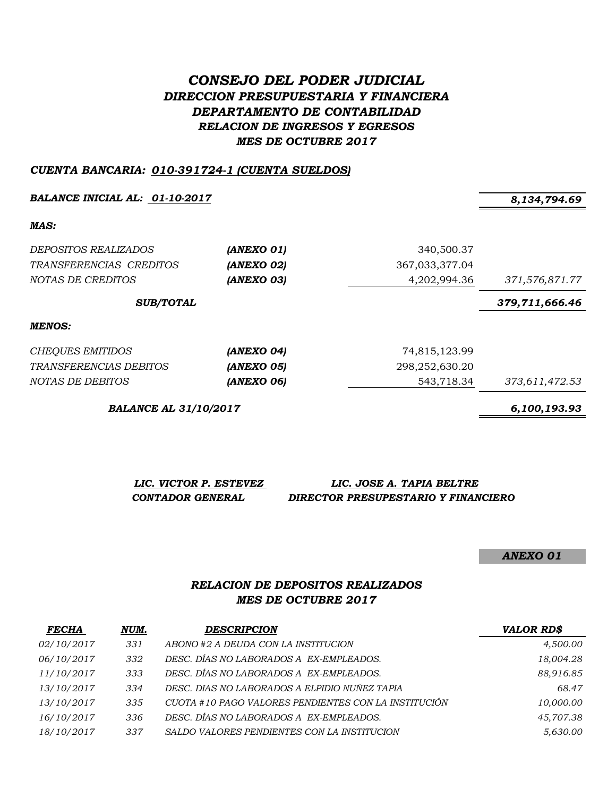# *CONSEJO DEL PODER JUDICIAL DIRECCION PRESUPUESTARIA Y FINANCIERA DEPARTAMENTO DE CONTABILIDAD RELACION DE INGRESOS Y EGRESOS MES DE OCTUBRE 2017*

#### *CUENTA BANCARIA: 010-391724-1 (CUENTA SUELDOS)*

*BALANCE INICIAL AL: 01-10-2017 8,134,794.69*

*MAS:*

| <i>DEPOSITOS REALIZADOS</i><br>TRANSFERENCIAS CREDITOS<br>NOTAS DE CREDITOS | (ANEXO 01)<br>(ANEXO 02)<br>(ANEXO 03) | 340,500.37<br>367,033,377.04<br>4,202,994.36 | 371,576,871.77 |
|-----------------------------------------------------------------------------|----------------------------------------|----------------------------------------------|----------------|
| <b>SUB/TOTAL</b>                                                            |                                        | 379,711,666.46                               |                |
| MENOS:                                                                      |                                        |                                              |                |
| CHEQUES EMITIDOS                                                            | (ANEXO 04)                             | 74,815,123.99                                |                |
| <i>TRANSFERENCIAS DEBITOS</i>                                               | (ANEXO 05)                             | 298,252,630.20                               |                |
| NOTAS DE DEBITOS                                                            | (ANEXO 06)                             | 543,718.34                                   | 373,611,472.53 |

*BALANCE AL 31/10/2017 6,100,193.93*

*LIC. VICTOR P. ESTEVEZ LIC. JOSE A. TAPIA BELTRE CONTADOR GENERAL DIRECTOR PRESUPESTARIO Y FINANCIERO*

*ANEXO 01*

#### *RELACION DE DEPOSITOS REALIZADOS MES DE OCTUBRE 2017*

| <b>FECHA</b> | NUM. | <b>DESCRIPCION</b>                                   | <b>VALOR RD\$</b> |
|--------------|------|------------------------------------------------------|-------------------|
| 02/10/2017   | 331  | ABONO #2 A DEUDA CON LA INSTITUCION                  | 4,500.00          |
| 06/10/2017   | 332  | DESC. DÍAS NO LABORADOS A EX-EMPLEADOS.              | 18,004.28         |
| 11/10/2017   | 333  | DESC. DÍAS NO LABORADOS A EX-EMPLEADOS.              | 88,916.85         |
| 13/10/2017   | 334  | DESC. DIAS NO LABORADOS A ELPIDIO NUÑEZ TAPIA        | 68.47             |
| 13/10/2017   | 335  | CUOTA #10 PAGO VALORES PENDIENTES CON LA INSTITUCIÓN | 10,000.00         |
| 16/10/2017   | 336  | DESC. DÍAS NO LABORADOS A EX-EMPLEADOS.              | 45,707.38         |
| 18/10/2017   | 337  | SALDO VALORES PENDIENTES CON LA INSTITUCION          | 5,630.00          |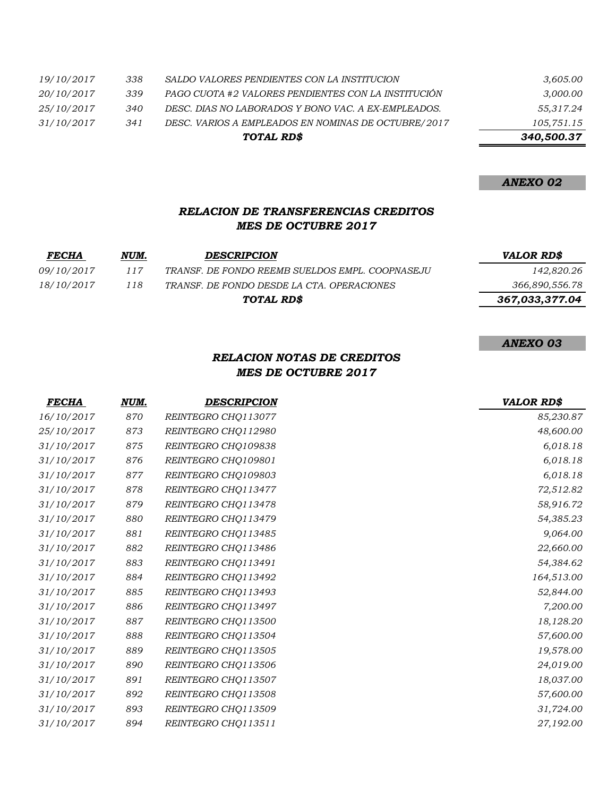|            |     | TOTAL RD\$                                          | 340,500.37 |
|------------|-----|-----------------------------------------------------|------------|
| 31/10/2017 | 341 | DESC. VARIOS A EMPLEADOS EN NOMINAS DE OCTUBRE/2017 | 105,751.15 |
| 25/10/2017 | 340 | DESC. DIAS NO LABORADOS Y BONO VAC. A EX-EMPLEADOS. | 55,317.24  |
| 20/10/2017 | 339 | PAGO CUOTA #2 VALORES PENDIENTES CON LA INSTITUCIÓN | 3,000.00   |
| 19/10/2017 | 338 | SALDO VALORES PENDIENTES CON LA INSTITUCION         | 3,605.00   |

*ANEXO 03*

### *RELACION DE TRANSFERENCIAS CREDITOS MES DE OCTUBRE 2017*

| <i>FECHA</i>      | NUM. | <b>DESCRIPCION</b>                               | VALOR RD\$     |
|-------------------|------|--------------------------------------------------|----------------|
| <i>09/10/2017</i> | 117  | TRANSF. DE FONDO REEMB SUELDOS EMPL. COOPNASE JU | 142,820.26     |
| 18/10/2017        | 118  | TRANSF. DE FONDO DESDE LA CTA. OPERACIONES       | 366,890,556.78 |
|                   |      | TOTAL RD\$                                       | 367,033,377.04 |

## *RELACION NOTAS DE CREDITOS MES DE OCTUBRE 2017*

| <b>FECHA</b> | NUM. | <b>DESCRIPCION</b>  | <b>VALOR RD\$</b> |
|--------------|------|---------------------|-------------------|
| 16/10/2017   | 870  | REINTEGRO CHQ113077 | 85,230.87         |
| 25/10/2017   | 873  | REINTEGRO CHQ112980 | 48,600.00         |
| 31/10/2017   | 875  | REINTEGRO CHQ109838 | 6,018.18          |
| 31/10/2017   | 876  | REINTEGRO CHQ109801 | 6,018.18          |
| 31/10/2017   | 877  | REINTEGRO CHQ109803 | 6,018.18          |
| 31/10/2017   | 878  | REINTEGRO CHQ113477 | 72,512.82         |
| 31/10/2017   | 879  | REINTEGRO CHQ113478 | 58,916.72         |
| 31/10/2017   | 880  | REINTEGRO CHO113479 | 54,385.23         |
| 31/10/2017   | 881  | REINTEGRO CHQ113485 | 9,064.00          |
| 31/10/2017   | 882  | REINTEGRO CHQ113486 | 22,660.00         |
| 31/10/2017   | 883  | REINTEGRO CHO113491 | 54,384.62         |
| 31/10/2017   | 884  | REINTEGRO CHO113492 | 164,513.00        |
| 31/10/2017   | 885  | REINTEGRO CHQ113493 | 52,844.00         |
| 31/10/2017   | 886  | REINTEGRO CHO113497 | 7,200.00          |
| 31/10/2017   | 887  | REINTEGRO CHO113500 | 18,128.20         |
| 31/10/2017   | 888  | REINTEGRO CHQ113504 | 57,600.00         |
| 31/10/2017   | 889  | REINTEGRO CHQ113505 | 19,578.00         |
| 31/10/2017   | 890  | REINTEGRO CHQ113506 | 24,019.00         |
| 31/10/2017   | 891  | REINTEGRO CHQ113507 | 18,037.00         |
| 31/10/2017   | 892  | REINTEGRO CHQ113508 | 57,600.00         |
| 31/10/2017   | 893  | REINTEGRO CHQ113509 | 31,724.00         |
| 31/10/2017   | 894  | REINTEGRO CHQ113511 | 27,192.00         |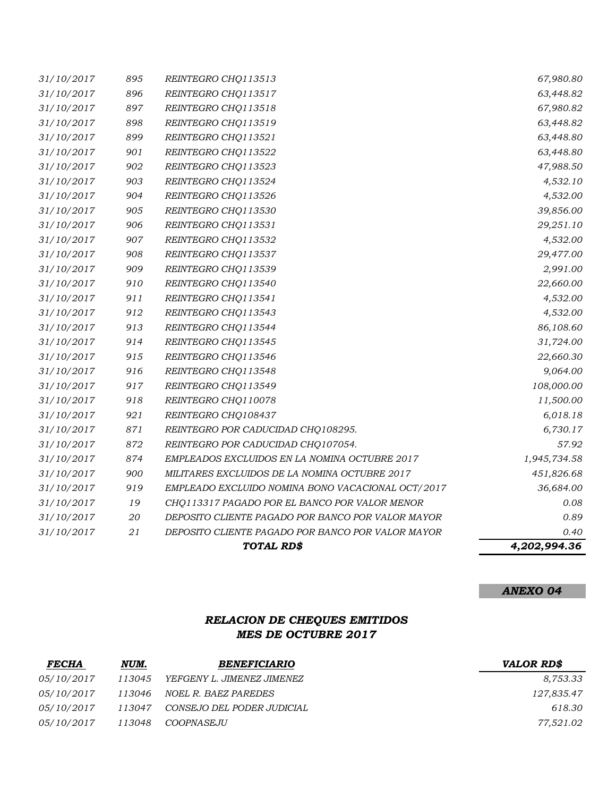|            |        | TOTAL RD\$                                        | 4,202,994.36 |
|------------|--------|---------------------------------------------------|--------------|
| 31/10/2017 | $21\,$ | DEPOSITO CLIENTE PAGADO POR BANCO POR VALOR MAYOR | 0.40         |
| 31/10/2017 | 20     | DEPOSITO CLIENTE PAGADO POR BANCO POR VALOR MAYOR | 0.89         |
| 31/10/2017 | 19     | CHQ113317 PAGADO POR EL BANCO POR VALOR MENOR     | 0.08         |
| 31/10/2017 | 919    | EMPLEADO EXCLUIDO NOMINA BONO VACACIONAL OCT/2017 | 36,684.00    |
| 31/10/2017 | 900    | MILITARES EXCLUIDOS DE LA NOMINA OCTUBRE 2017     | 451,826.68   |
| 31/10/2017 | 874    | EMPLEADOS EXCLUIDOS EN LA NOMINA OCTUBRE 2017     | 1,945,734.58 |
| 31/10/2017 | 872    | REINTEGRO POR CADUCIDAD CHQ107054.                | 57.92        |
| 31/10/2017 | 871    | REINTEGRO POR CADUCIDAD CHQ108295.                | 6,730.17     |
| 31/10/2017 | 921    | REINTEGRO CHQ108437                               | 6,018.18     |
| 31/10/2017 | 918    | REINTEGRO CHQ110078                               | 11,500.00    |
| 31/10/2017 | 917    | REINTEGRO CHQ113549                               | 108,000.00   |
| 31/10/2017 | 916    | REINTEGRO CHQ113548                               | 9,064.00     |
| 31/10/2017 | 915    | REINTEGRO CHQ113546                               | 22,660.30    |
| 31/10/2017 | 914    | REINTEGRO CHQ113545                               | 31,724.00    |
| 31/10/2017 | 913    | REINTEGRO CHQ113544                               | 86,108.60    |
| 31/10/2017 | 912    | REINTEGRO CHQ113543                               | 4,532.00     |
| 31/10/2017 | 911    | REINTEGRO CHQ113541                               | 4,532.00     |
| 31/10/2017 | 910    | REINTEGRO CHQ113540                               | 22,660.00    |
| 31/10/2017 | 909    | REINTEGRO CHQ113539                               | 2,991.00     |
| 31/10/2017 | 908    | REINTEGRO CHQ113537                               | 29,477.00    |
| 31/10/2017 | 907    | REINTEGRO CHQ113532                               | 4,532.00     |
| 31/10/2017 | 906    | REINTEGRO CHQ113531                               | 29,251.10    |
| 31/10/2017 | 905    | REINTEGRO CHQ113530                               | 39,856.00    |
| 31/10/2017 | 904    | REINTEGRO CHQ113526                               | 4,532.00     |
| 31/10/2017 | 903    | REINTEGRO CHQ113524                               | 4,532.10     |
| 31/10/2017 | 902    | REINTEGRO CHQ113523                               | 47,988.50    |
| 31/10/2017 | 901    | REINTEGRO CHQ113522                               | 63,448.80    |
| 31/10/2017 | 899    | REINTEGRO CHQ113521                               | 63,448.80    |
| 31/10/2017 | 898    | REINTEGRO CHQ113519                               | 63,448.82    |
| 31/10/2017 | 897    | REINTEGRO CHQ113518                               | 67,980.82    |
| 31/10/2017 | 896    | REINTEGRO CHQ113517                               | 63,448.82    |
| 31/10/2017 | 895    | REINTEGRO CHQ113513                               | 67,980.80    |

# *RELACION DE CHEQUES EMITIDOS MES DE OCTUBRE 2017*

| <b>FECHA</b> | NUM.   | <b>BENEFICIARIO</b>        | <b>VALOR RDS</b> |
|--------------|--------|----------------------------|------------------|
| 05/10/2017   | 113045 | YEFGENY L. JIMENEZ JIMENEZ | 8,753.33         |
| 05/10/2017   | 113046 | NOEL R. BAEZ PAREDES       | 127,835.47       |
| 05/10/2017   | 113047 | CONSEJO DEL PODER JUDICIAL | 618.30           |
| 05/10/2017   | 113048 | <i>COOPNASEJU</i>          | 77,521.02        |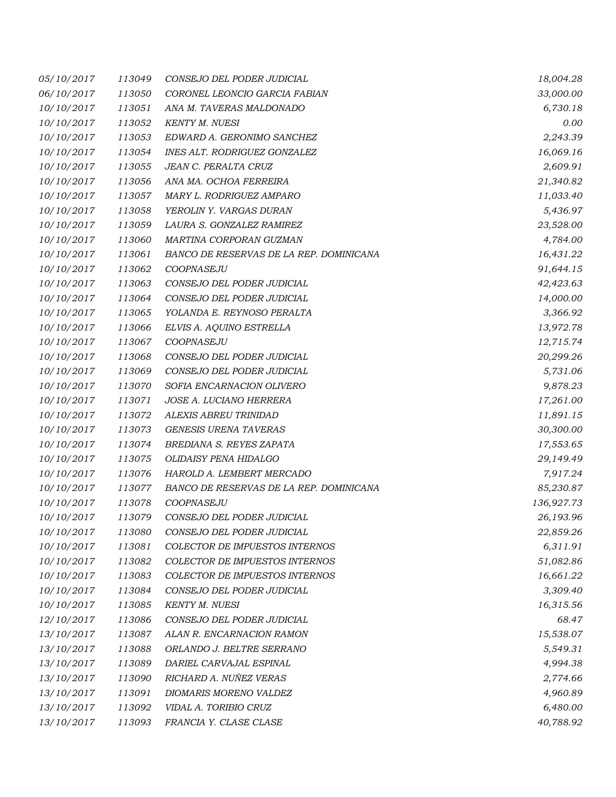| 05/10/2017 | 113049 | CONSEJO DEL PODER JUDICIAL              | 18,004.28  |
|------------|--------|-----------------------------------------|------------|
| 06/10/2017 | 113050 | CORONEL LEONCIO GARCIA FABIAN           | 33,000.00  |
| 10/10/2017 | 113051 | ANA M. TAVERAS MALDONADO                | 6,730.18   |
| 10/10/2017 | 113052 | <b>KENTY M. NUESI</b>                   | 0.00       |
| 10/10/2017 | 113053 | EDWARD A. GERONIMO SANCHEZ              | 2,243.39   |
| 10/10/2017 | 113054 | INES ALT. RODRIGUEZ GONZALEZ            | 16,069.16  |
| 10/10/2017 | 113055 | JEAN C. PERALTA CRUZ                    | 2,609.91   |
| 10/10/2017 | 113056 | ANA MA. OCHOA FERREIRA                  | 21,340.82  |
| 10/10/2017 | 113057 | MARY L. RODRIGUEZ AMPARO                | 11,033.40  |
| 10/10/2017 | 113058 | YEROLIN Y. VARGAS DURAN                 | 5,436.97   |
| 10/10/2017 | 113059 | LAURA S. GONZALEZ RAMIREZ               | 23,528.00  |
| 10/10/2017 | 113060 | MARTINA CORPORAN GUZMAN                 | 4,784.00   |
| 10/10/2017 | 113061 | BANCO DE RESERVAS DE LA REP. DOMINICANA | 16,431.22  |
| 10/10/2017 | 113062 | COOPNASEJU                              | 91,644.15  |
| 10/10/2017 | 113063 | CONSEJO DEL PODER JUDICIAL              | 42,423.63  |
| 10/10/2017 | 113064 | CONSEJO DEL PODER JUDICIAL              | 14,000.00  |
| 10/10/2017 | 113065 | YOLANDA E. REYNOSO PERALTA              | 3,366.92   |
| 10/10/2017 | 113066 | ELVIS A. AQUINO ESTRELLA                | 13,972.78  |
| 10/10/2017 | 113067 | COOPNASEJU                              | 12,715.74  |
| 10/10/2017 | 113068 | CONSEJO DEL PODER JUDICIAL              | 20,299.26  |
| 10/10/2017 | 113069 | CONSEJO DEL PODER JUDICIAL              | 5,731.06   |
| 10/10/2017 | 113070 | SOFIA ENCARNACION OLIVERO               | 9,878.23   |
| 10/10/2017 | 113071 | JOSE A. LUCIANO HERRERA                 | 17,261.00  |
| 10/10/2017 | 113072 | ALEXIS ABREU TRINIDAD                   | 11,891.15  |
| 10/10/2017 | 113073 | <b>GENESIS URENA TAVERAS</b>            | 30,300.00  |
| 10/10/2017 | 113074 | BREDIANA S. REYES ZAPATA                | 17,553.65  |
| 10/10/2017 | 113075 | <b>OLIDAISY PENA HIDALGO</b>            | 29,149.49  |
| 10/10/2017 | 113076 | HAROLD A. LEMBERT MERCADO               | 7,917.24   |
| 10/10/2017 | 113077 | BANCO DE RESERVAS DE LA REP. DOMINICANA | 85,230.87  |
| 10/10/2017 | 113078 | COOPNASEJU                              | 136,927.73 |
| 10/10/2017 | 113079 | CONSEJO DEL PODER JUDICIAL              | 26,193.96  |
| 10/10/2017 | 113080 | CONSEJO DEL PODER JUDICIAL              | 22,859.26  |
| 10/10/2017 | 113081 | COLECTOR DE IMPUESTOS INTERNOS          | 6,311.91   |
| 10/10/2017 | 113082 | COLECTOR DE IMPUESTOS INTERNOS          | 51,082.86  |
| 10/10/2017 | 113083 | COLECTOR DE IMPUESTOS INTERNOS          | 16,661.22  |
| 10/10/2017 | 113084 | CONSEJO DEL PODER JUDICIAL              | 3,309.40   |
| 10/10/2017 | 113085 | <b>KENTY M. NUESI</b>                   | 16,315.56  |
| 12/10/2017 | 113086 | CONSEJO DEL PODER JUDICIAL              | 68.47      |
| 13/10/2017 | 113087 | ALAN R. ENCARNACION RAMON               | 15,538.07  |
| 13/10/2017 | 113088 | ORLANDO J. BELTRE SERRANO               | 5,549.31   |
| 13/10/2017 | 113089 | DARIEL CARVAJAL ESPINAL                 | 4,994.38   |
| 13/10/2017 | 113090 | RICHARD A. NUÑEZ VERAS                  | 2,774.66   |
| 13/10/2017 | 113091 | DIOMARIS MORENO VALDEZ                  | 4,960.89   |
| 13/10/2017 | 113092 | VIDAL A. TORIBIO CRUZ                   | 6,480.00   |
| 13/10/2017 | 113093 | FRANCIA Y. CLASE CLASE                  | 40,788.92  |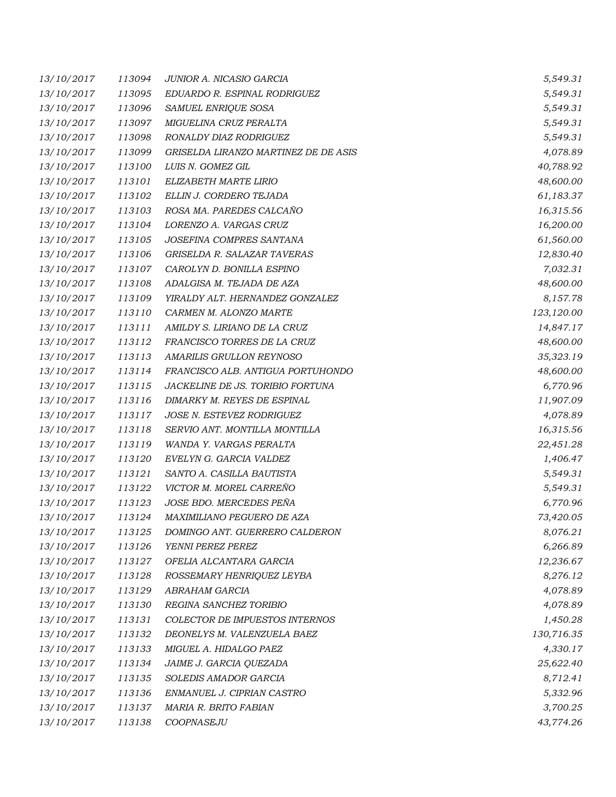| 13/10/2017 | 113094 | JUNIOR A. NICASIO GARCIA             | 5,549.31   |
|------------|--------|--------------------------------------|------------|
| 13/10/2017 | 113095 | EDUARDO R. ESPINAL RODRIGUEZ         | 5,549.31   |
| 13/10/2017 | 113096 | SAMUEL ENRIQUE SOSA                  | 5,549.31   |
| 13/10/2017 | 113097 | MIGUELINA CRUZ PERALTA               | 5,549.31   |
| 13/10/2017 | 113098 | RONALDY DIAZ RODRIGUEZ               | 5,549.31   |
| 13/10/2017 | 113099 | GRISELDA LIRANZO MARTINEZ DE DE ASIS | 4,078.89   |
| 13/10/2017 | 113100 | LUIS N. GOMEZ GIL                    | 40,788.92  |
| 13/10/2017 | 113101 | ELIZABETH MARTE LIRIO                | 48,600.00  |
| 13/10/2017 | 113102 | ELLIN J. CORDERO TEJADA              | 61,183.37  |
| 13/10/2017 | 113103 | ROSA MA. PAREDES CALCAÑO             | 16,315.56  |
| 13/10/2017 | 113104 | LORENZO A. VARGAS CRUZ               | 16,200.00  |
| 13/10/2017 | 113105 | JOSEFINA COMPRES SANTANA             | 61,560.00  |
| 13/10/2017 | 113106 | GRISELDA R. SALAZAR TAVERAS          | 12,830.40  |
| 13/10/2017 | 113107 | CAROLYN D. BONILLA ESPINO            | 7,032.31   |
| 13/10/2017 | 113108 | ADALGISA M. TEJADA DE AZA            | 48,600.00  |
| 13/10/2017 | 113109 | YIRALDY ALT. HERNANDEZ GONZALEZ      | 8,157.78   |
| 13/10/2017 | 113110 | CARMEN M. ALONZO MARTE               | 123,120.00 |
| 13/10/2017 | 113111 | AMILDY S. LIRIANO DE LA CRUZ         | 14,847.17  |
| 13/10/2017 | 113112 | FRANCISCO TORRES DE LA CRUZ          | 48,600.00  |
| 13/10/2017 | 113113 | AMARILIS GRULLON REYNOSO             | 35,323.19  |
| 13/10/2017 | 113114 | FRANCISCO ALB. ANTIGUA PORTUHONDO    | 48,600.00  |
| 13/10/2017 | 113115 | JACKELINE DE JS. TORIBIO FORTUNA     | 6,770.96   |
| 13/10/2017 | 113116 | DIMARKY M. REYES DE ESPINAL          | 11,907.09  |
| 13/10/2017 | 113117 | JOSE N. ESTEVEZ RODRIGUEZ            | 4,078.89   |
| 13/10/2017 | 113118 | SERVIO ANT. MONTILLA MONTILLA        | 16,315.56  |
| 13/10/2017 | 113119 | WANDA Y. VARGAS PERALTA              | 22,451.28  |
| 13/10/2017 | 113120 | EVELYN G. GARCIA VALDEZ              | 1,406.47   |
| 13/10/2017 | 113121 | SANTO A. CASILLA BAUTISTA            | 5,549.31   |
| 13/10/2017 | 113122 | VICTOR M. MOREL CARREÑO              | 5,549.31   |
| 13/10/2017 | 113123 | JOSE BDO. MERCEDES PEÑA              | 6,770.96   |
| 13/10/2017 | 113124 | MAXIMILIANO PEGUERO DE AZA           | 73,420.05  |
| 13/10/2017 | 113125 | DOMINGO ANT. GUERRERO CALDERON       | 8,076.21   |
| 13/10/2017 | 113126 | YENNI PEREZ PEREZ                    | 6,266.89   |
| 13/10/2017 | 113127 | OFELIA ALCANTARA GARCIA              | 12,236.67  |
| 13/10/2017 | 113128 | ROSSEMARY HENRIQUEZ LEYBA            | 8,276.12   |
| 13/10/2017 | 113129 | ABRAHAM GARCIA                       | 4,078.89   |
| 13/10/2017 | 113130 | REGINA SANCHEZ TORIBIO               | 4,078.89   |
| 13/10/2017 | 113131 | COLECTOR DE IMPUESTOS INTERNOS       | 1,450.28   |
| 13/10/2017 | 113132 | DEONELYS M. VALENZUELA BAEZ          | 130,716.35 |
| 13/10/2017 | 113133 | MIGUEL A. HIDALGO PAEZ               | 4,330.17   |
| 13/10/2017 | 113134 | JAIME J. GARCIA QUEZADA              | 25,622.40  |
| 13/10/2017 | 113135 | SOLEDIS AMADOR GARCIA                | 8,712.41   |
| 13/10/2017 | 113136 | ENMANUEL J. CIPRIAN CASTRO           | 5,332.96   |
| 13/10/2017 | 113137 | MARIA R. BRITO FABIAN                | 3,700.25   |
| 13/10/2017 | 113138 | COOPNASEJU                           | 43,774.26  |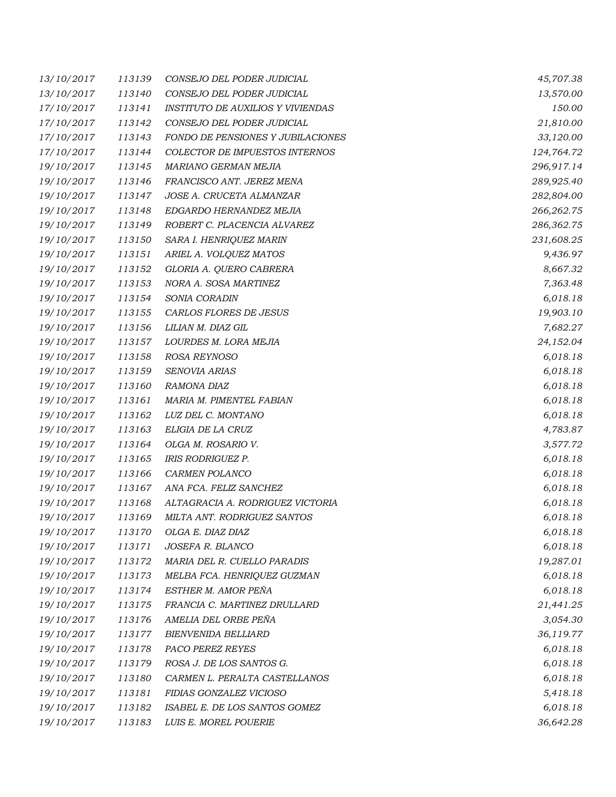| 13/10/2017 | 113139 | CONSEJO DEL PODER JUDICIAL               | 45,707.38  |
|------------|--------|------------------------------------------|------------|
| 13/10/2017 | 113140 | CONSEJO DEL PODER JUDICIAL               | 13,570.00  |
| 17/10/2017 | 113141 | <i>INSTITUTO DE AUXILIOS Y VIVIENDAS</i> | 150.00     |
| 17/10/2017 | 113142 | CONSEJO DEL PODER JUDICIAL               | 21,810.00  |
| 17/10/2017 | 113143 | FONDO DE PENSIONES Y JUBILACIONES        | 33,120.00  |
| 17/10/2017 | 113144 | COLECTOR DE IMPUESTOS INTERNOS           | 124,764.72 |
| 19/10/2017 | 113145 | MARIANO GERMAN MEJIA                     | 296,917.14 |
| 19/10/2017 | 113146 | FRANCISCO ANT. JEREZ MENA                | 289,925.40 |
| 19/10/2017 | 113147 | JOSE A. CRUCETA ALMANZAR                 | 282,804.00 |
| 19/10/2017 | 113148 | EDGARDO HERNANDEZ MEJIA                  | 266,262.75 |
| 19/10/2017 | 113149 | ROBERT C. PLACENCIA ALVAREZ              | 286,362.75 |
| 19/10/2017 | 113150 | SARA I. HENRIQUEZ MARIN                  | 231,608.25 |
| 19/10/2017 | 113151 | ARIEL A. VOLQUEZ MATOS                   | 9,436.97   |
| 19/10/2017 | 113152 | GLORIA A. QUERO CABRERA                  | 8,667.32   |
| 19/10/2017 | 113153 | NORA A. SOSA MARTINEZ                    | 7,363.48   |
| 19/10/2017 | 113154 | SONIA CORADIN                            | 6,018.18   |
| 19/10/2017 | 113155 | CARLOS FLORES DE JESUS                   | 19,903.10  |
| 19/10/2017 | 113156 | LILIAN M. DIAZ GIL                       | 7,682.27   |
| 19/10/2017 | 113157 | LOURDES M. LORA MEJIA                    | 24,152.04  |
| 19/10/2017 | 113158 | ROSA REYNOSO                             | 6,018.18   |
| 19/10/2017 | 113159 | SENOVIA ARIAS                            | 6,018.18   |
| 19/10/2017 | 113160 | RAMONA DIAZ                              | 6,018.18   |
| 19/10/2017 | 113161 | MARIA M. PIMENTEL FABIAN                 | 6,018.18   |
| 19/10/2017 | 113162 | LUZ DEL C. MONTANO                       | 6,018.18   |
| 19/10/2017 | 113163 | ELIGIA DE LA CRUZ                        | 4,783.87   |
| 19/10/2017 | 113164 | OLGA M. ROSARIO V.                       | 3,577.72   |
| 19/10/2017 | 113165 | <b>IRIS RODRIGUEZ P.</b>                 | 6,018.18   |
| 19/10/2017 | 113166 | CARMEN POLANCO                           | 6,018.18   |
| 19/10/2017 | 113167 | ANA FCA. FELIZ SANCHEZ                   | 6,018.18   |
| 19/10/2017 | 113168 | ALTAGRACIA A. RODRIGUEZ VICTORIA         | 6,018.18   |
| 19/10/2017 | 113169 | MILTA ANT. RODRIGUEZ SANTOS              | 6,018.18   |
| 19/10/2017 | 113170 | OLGA E. DIAZ DIAZ                        | 6,018.18   |
| 19/10/2017 | 113171 | JOSEFA R. BLANCO                         | 6,018.18   |
| 19/10/2017 | 113172 | MARIA DEL R. CUELLO PARADIS              | 19,287.01  |
| 19/10/2017 | 113173 | MELBA FCA. HENRIQUEZ GUZMAN              | 6,018.18   |
| 19/10/2017 | 113174 | ESTHER M. AMOR PEÑA                      | 6,018.18   |
| 19/10/2017 | 113175 | FRANCIA C. MARTINEZ DRULLARD             | 21,441.25  |
| 19/10/2017 | 113176 | AMELIA DEL ORBE PEÑA                     | 3,054.30   |
| 19/10/2017 | 113177 | <b>BIENVENIDA BELLIARD</b>               | 36,119.77  |
| 19/10/2017 | 113178 | PACO PEREZ REYES                         | 6,018.18   |
| 19/10/2017 | 113179 | ROSA J. DE LOS SANTOS G.                 | 6,018.18   |
| 19/10/2017 | 113180 | CARMEN L. PERALTA CASTELLANOS            | 6,018.18   |
| 19/10/2017 | 113181 | FIDIAS GONZALEZ VICIOSO                  | 5,418.18   |
| 19/10/2017 | 113182 | ISABEL E. DE LOS SANTOS GOMEZ            | 6,018.18   |
| 19/10/2017 | 113183 | LUIS E. MOREL POUERIE                    | 36,642.28  |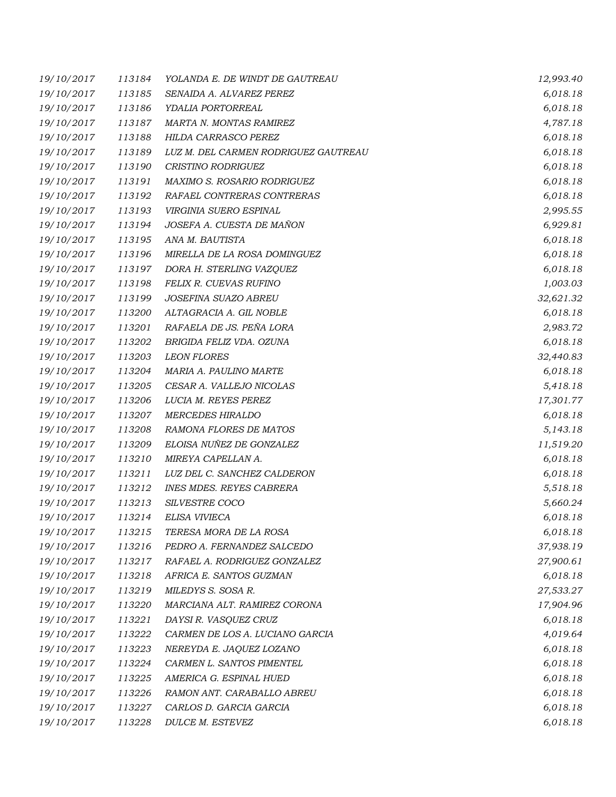| 19/10/2017 | 113184 | YOLANDA E. DE WINDT DE GAUTREAU      | 12,993.40 |
|------------|--------|--------------------------------------|-----------|
| 19/10/2017 | 113185 | SENAIDA A. ALVAREZ PEREZ             | 6,018.18  |
| 19/10/2017 | 113186 | YDALIA PORTORREAL                    | 6,018.18  |
| 19/10/2017 | 113187 | MARTA N. MONTAS RAMIREZ              | 4,787.18  |
| 19/10/2017 | 113188 | HILDA CARRASCO PEREZ                 | 6,018.18  |
| 19/10/2017 | 113189 | LUZ M. DEL CARMEN RODRIGUEZ GAUTREAU | 6,018.18  |
| 19/10/2017 | 113190 | CRISTINO RODRIGUEZ                   | 6,018.18  |
| 19/10/2017 | 113191 | MAXIMO S. ROSARIO RODRIGUEZ          | 6,018.18  |
| 19/10/2017 | 113192 | RAFAEL CONTRERAS CONTRERAS           | 6,018.18  |
| 19/10/2017 | 113193 | VIRGINIA SUERO ESPINAL               | 2,995.55  |
| 19/10/2017 | 113194 | JOSEFA A. CUESTA DE MAÑON            | 6,929.81  |
| 19/10/2017 | 113195 | ANA M. BAUTISTA                      | 6,018.18  |
| 19/10/2017 | 113196 | MIRELLA DE LA ROSA DOMINGUEZ         | 6,018.18  |
| 19/10/2017 | 113197 | DORA H. STERLING VAZQUEZ             | 6,018.18  |
| 19/10/2017 | 113198 | FELIX R. CUEVAS RUFINO               | 1,003.03  |
| 19/10/2017 | 113199 | JOSEFINA SUAZO ABREU                 | 32,621.32 |
| 19/10/2017 | 113200 | ALTAGRACIA A. GIL NOBLE              | 6,018.18  |
| 19/10/2017 | 113201 | RAFAELA DE JS. PEÑA LORA             | 2,983.72  |
| 19/10/2017 | 113202 | BRIGIDA FELIZ VDA. OZUNA             | 6,018.18  |
| 19/10/2017 | 113203 | <b>LEON FLORES</b>                   | 32,440.83 |
| 19/10/2017 | 113204 | MARIA A. PAULINO MARTE               | 6,018.18  |
| 19/10/2017 | 113205 | CESAR A. VALLEJO NICOLAS             | 5,418.18  |
| 19/10/2017 | 113206 | LUCIA M. REYES PEREZ                 | 17,301.77 |
| 19/10/2017 | 113207 | <b>MERCEDES HIRALDO</b>              | 6,018.18  |
| 19/10/2017 | 113208 | RAMONA FLORES DE MATOS               | 5,143.18  |
| 19/10/2017 | 113209 | ELOISA NUÑEZ DE GONZALEZ             | 11,519.20 |
| 19/10/2017 | 113210 | MIREYA CAPELLAN A.                   | 6,018.18  |
| 19/10/2017 | 113211 | LUZ DEL C. SANCHEZ CALDERON          | 6,018.18  |
| 19/10/2017 | 113212 | <b>INES MDES. REYES CABRERA</b>      | 5,518.18  |
| 19/10/2017 | 113213 | SILVESTRE COCO                       | 5,660.24  |
| 19/10/2017 | 113214 | ELISA VIVIECA                        | 6,018.18  |
| 19/10/2017 | 113215 | TERESA MORA DE LA ROSA               | 6,018.18  |
| 19/10/2017 | 113216 | PEDRO A. FERNANDEZ SALCEDO           | 37,938.19 |
| 19/10/2017 | 113217 | RAFAEL A. RODRIGUEZ GONZALEZ         | 27,900.61 |
| 19/10/2017 | 113218 | AFRICA E. SANTOS GUZMAN              | 6,018.18  |
| 19/10/2017 | 113219 | MILEDYS S. SOSA R.                   | 27,533.27 |
| 19/10/2017 | 113220 | MARCIANA ALT. RAMIREZ CORONA         | 17,904.96 |
| 19/10/2017 | 113221 | DAYSI R. VASQUEZ CRUZ                | 6,018.18  |
| 19/10/2017 | 113222 | CARMEN DE LOS A. LUCIANO GARCIA      | 4,019.64  |
| 19/10/2017 | 113223 | NEREYDA E. JAQUEZ LOZANO             | 6,018.18  |
| 19/10/2017 | 113224 | CARMEN L. SANTOS PIMENTEL            | 6,018.18  |
| 19/10/2017 | 113225 | AMERICA G. ESPINAL HUED              | 6,018.18  |
| 19/10/2017 | 113226 | RAMON ANT. CARABALLO ABREU           | 6,018.18  |
| 19/10/2017 | 113227 | CARLOS D. GARCIA GARCIA              | 6,018.18  |
| 19/10/2017 | 113228 | DULCE M. ESTEVEZ                     | 6,018.18  |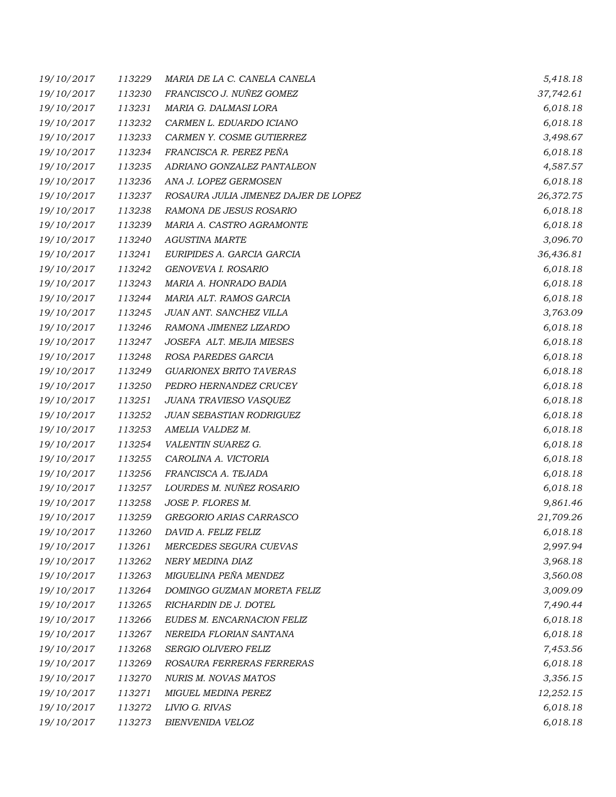| 19/10/2017 | 113229 | MARIA DE LA C. CANELA CANELA         | 5,418.18  |
|------------|--------|--------------------------------------|-----------|
| 19/10/2017 | 113230 | FRANCISCO J. NUÑEZ GOMEZ             | 37,742.61 |
| 19/10/2017 | 113231 | MARIA G. DALMASI LORA                | 6,018.18  |
| 19/10/2017 | 113232 | CARMEN L. EDUARDO ICIANO             | 6,018.18  |
| 19/10/2017 | 113233 | CARMEN Y. COSME GUTIERREZ            | 3,498.67  |
| 19/10/2017 | 113234 | FRANCISCA R. PEREZ PEÑA              | 6,018.18  |
| 19/10/2017 | 113235 | ADRIANO GONZALEZ PANTALEON           | 4,587.57  |
| 19/10/2017 | 113236 | ANA J. LOPEZ GERMOSEN                | 6,018.18  |
| 19/10/2017 | 113237 | ROSAURA JULIA JIMENEZ DAJER DE LOPEZ | 26,372.75 |
| 19/10/2017 | 113238 | RAMONA DE JESUS ROSARIO              | 6,018.18  |
| 19/10/2017 | 113239 | MARIA A. CASTRO AGRAMONTE            | 6,018.18  |
| 19/10/2017 | 113240 | <b>AGUSTINA MARTE</b>                | 3,096.70  |
| 19/10/2017 | 113241 | EURIPIDES A. GARCIA GARCIA           | 36,436.81 |
| 19/10/2017 | 113242 | GENOVEVA I. ROSARIO                  | 6,018.18  |
| 19/10/2017 | 113243 | MARIA A. HONRADO BADIA               | 6,018.18  |
| 19/10/2017 | 113244 | MARIA ALT. RAMOS GARCIA              | 6,018.18  |
| 19/10/2017 | 113245 | JUAN ANT. SANCHEZ VILLA              | 3,763.09  |
| 19/10/2017 | 113246 | RAMONA JIMENEZ LIZARDO               | 6,018.18  |
| 19/10/2017 | 113247 | JOSEFA ALT. MEJIA MIESES             | 6,018.18  |
| 19/10/2017 | 113248 | ROSA PAREDES GARCIA                  | 6,018.18  |
| 19/10/2017 | 113249 | <b>GUARIONEX BRITO TAVERAS</b>       | 6,018.18  |
| 19/10/2017 | 113250 | PEDRO HERNANDEZ CRUCEY               | 6,018.18  |
| 19/10/2017 | 113251 | JUANA TRAVIESO VASQUEZ               | 6,018.18  |
| 19/10/2017 | 113252 | JUAN SEBASTIAN RODRIGUEZ             | 6,018.18  |
| 19/10/2017 | 113253 | AMELIA VALDEZ M.                     | 6,018.18  |
| 19/10/2017 | 113254 | VALENTIN SUAREZ G.                   | 6,018.18  |
| 19/10/2017 | 113255 | CAROLINA A. VICTORIA                 | 6,018.18  |
| 19/10/2017 | 113256 | FRANCISCA A. TEJADA                  | 6,018.18  |
| 19/10/2017 | 113257 | LOURDES M. NUÑEZ ROSARIO             | 6,018.18  |
| 19/10/2017 | 113258 | JOSE P. FLORES M.                    | 9,861.46  |
| 19/10/2017 | 113259 | GREGORIO ARIAS CARRASCO              | 21,709.26 |
| 19/10/2017 | 113260 | DAVID A. FELIZ FELIZ                 | 6,018.18  |
| 19/10/2017 | 113261 | MERCEDES SEGURA CUEVAS               | 2,997.94  |
| 19/10/2017 | 113262 | NERY MEDINA DIAZ                     | 3,968.18  |
| 19/10/2017 | 113263 | MIGUELINA PEÑA MENDEZ                | 3,560.08  |
| 19/10/2017 | 113264 | DOMINGO GUZMAN MORETA FELIZ          | 3,009.09  |
| 19/10/2017 | 113265 | RICHARDIN DE J. DOTEL                | 7,490.44  |
| 19/10/2017 | 113266 | EUDES M. ENCARNACION FELIZ           | 6,018.18  |
| 19/10/2017 | 113267 | NEREIDA FLORIAN SANTANA              | 6,018.18  |
| 19/10/2017 | 113268 | SERGIO OLIVERO FELIZ                 | 7,453.56  |
| 19/10/2017 | 113269 | ROSAURA FERRERAS FERRERAS            | 6,018.18  |
| 19/10/2017 | 113270 | <b>NURIS M. NOVAS MATOS</b>          | 3,356.15  |
| 19/10/2017 | 113271 | <b>MIGUEL MEDINA PEREZ</b>           | 12,252.15 |
| 19/10/2017 | 113272 | LIVIO G. RIVAS                       | 6,018.18  |
| 19/10/2017 | 113273 | BIENVENIDA VELOZ                     | 6,018.18  |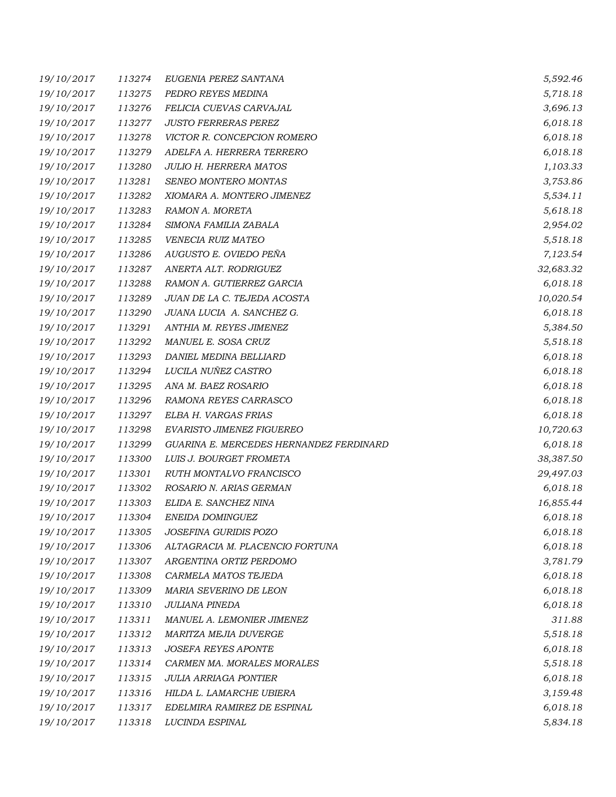| 19/10/2017 | 113274 | EUGENIA PEREZ SANTANA                   | 5,592.46  |
|------------|--------|-----------------------------------------|-----------|
| 19/10/2017 | 113275 | PEDRO REYES MEDINA                      | 5,718.18  |
| 19/10/2017 | 113276 | FELICIA CUEVAS CARVAJAL                 | 3,696.13  |
| 19/10/2017 | 113277 | <b>JUSTO FERRERAS PEREZ</b>             | 6,018.18  |
| 19/10/2017 | 113278 | VICTOR R. CONCEPCION ROMERO             | 6,018.18  |
| 19/10/2017 | 113279 | ADELFA A. HERRERA TERRERO               | 6,018.18  |
| 19/10/2017 | 113280 | <b>JULIO H. HERRERA MATOS</b>           | 1,103.33  |
| 19/10/2017 | 113281 | SENEO MONTERO MONTAS                    | 3,753.86  |
| 19/10/2017 | 113282 | XIOMARA A. MONTERO JIMENEZ              | 5,534.11  |
| 19/10/2017 | 113283 | RAMON A. MORETA                         | 5,618.18  |
| 19/10/2017 | 113284 | SIMONA FAMILIA ZABALA                   | 2,954.02  |
| 19/10/2017 | 113285 | VENECIA RUIZ MATEO                      | 5,518.18  |
| 19/10/2017 | 113286 | AUGUSTO E. OVIEDO PEÑA                  | 7,123.54  |
| 19/10/2017 | 113287 | ANERTA ALT. RODRIGUEZ                   | 32,683.32 |
| 19/10/2017 | 113288 | RAMON A. GUTIERREZ GARCIA               | 6,018.18  |
| 19/10/2017 | 113289 | JUAN DE LA C. TEJEDA ACOSTA             | 10,020.54 |
| 19/10/2017 | 113290 | JUANA LUCIA A. SANCHEZ G.               | 6,018.18  |
| 19/10/2017 | 113291 | ANTHIA M. REYES JIMENEZ                 | 5,384.50  |
| 19/10/2017 | 113292 | MANUEL E. SOSA CRUZ                     | 5,518.18  |
| 19/10/2017 | 113293 | DANIEL MEDINA BELLIARD                  | 6,018.18  |
| 19/10/2017 | 113294 | LUCILA NUÑEZ CASTRO                     | 6,018.18  |
| 19/10/2017 | 113295 | ANA M. BAEZ ROSARIO                     | 6,018.18  |
| 19/10/2017 | 113296 | RAMONA REYES CARRASCO                   | 6,018.18  |
| 19/10/2017 | 113297 | ELBA H. VARGAS FRIAS                    | 6,018.18  |
| 19/10/2017 | 113298 | EVARISTO JIMENEZ FIGUEREO               | 10,720.63 |
| 19/10/2017 | 113299 | GUARINA E. MERCEDES HERNANDEZ FERDINARD | 6,018.18  |
| 19/10/2017 | 113300 | LUIS J. BOURGET FROMETA                 | 38,387.50 |
| 19/10/2017 | 113301 | RUTH MONTALVO FRANCISCO                 | 29,497.03 |
| 19/10/2017 | 113302 | ROSARIO N. ARIAS GERMAN                 | 6,018.18  |
| 19/10/2017 | 113303 | ELIDA E. SANCHEZ NINA                   | 16,855.44 |
| 19/10/2017 | 113304 | ENEIDA DOMINGUEZ                        | 6,018.18  |
| 19/10/2017 | 113305 | JOSEFINA GURIDIS POZO                   | 6,018.18  |
| 19/10/2017 | 113306 | ALTAGRACIA M. PLACENCIO FORTUNA         | 6,018.18  |
| 19/10/2017 | 113307 | ARGENTINA ORTIZ PERDOMO                 | 3,781.79  |
| 19/10/2017 | 113308 | CARMELA MATOS TEJEDA                    | 6,018.18  |
| 19/10/2017 | 113309 | MARIA SEVERINO DE LEON                  | 6,018.18  |
| 19/10/2017 | 113310 | <b>JULIANA PINEDA</b>                   | 6,018.18  |
| 19/10/2017 | 113311 | MANUEL A. LEMONIER JIMENEZ              | 311.88    |
| 19/10/2017 | 113312 | MARITZA MEJIA DUVERGE                   | 5,518.18  |
| 19/10/2017 | 113313 | <b>JOSEFA REYES APONTE</b>              | 6,018.18  |
| 19/10/2017 | 113314 | CARMEN MA. MORALES MORALES              | 5,518.18  |
| 19/10/2017 | 113315 | <b>JULIA ARRIAGA PONTIER</b>            | 6,018.18  |
| 19/10/2017 | 113316 | HILDA L. LAMARCHE UBIERA                | 3,159.48  |
| 19/10/2017 | 113317 | EDELMIRA RAMIREZ DE ESPINAL             | 6,018.18  |
| 19/10/2017 | 113318 | LUCINDA ESPINAL                         | 5,834.18  |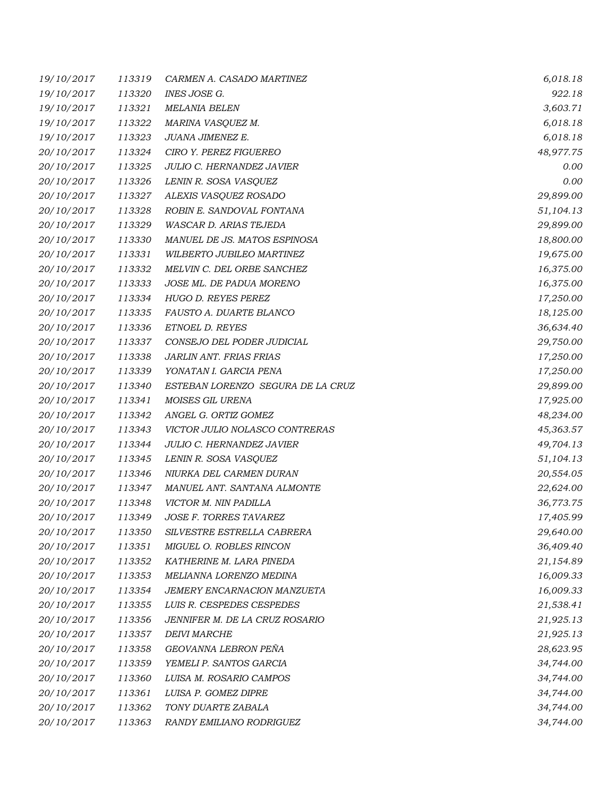| 19/10/2017 | 113319 | CARMEN A. CASADO MARTINEZ         | 6,018.18  |
|------------|--------|-----------------------------------|-----------|
| 19/10/2017 | 113320 | INES JOSE G.                      | 922.18    |
| 19/10/2017 | 113321 | <b>MELANIA BELEN</b>              | 3,603.71  |
| 19/10/2017 | 113322 | MARINA VASQUEZ M.                 | 6,018.18  |
| 19/10/2017 | 113323 | JUANA JIMENEZ E.                  | 6,018.18  |
| 20/10/2017 | 113324 | CIRO Y. PEREZ FIGUEREO            | 48,977.75 |
| 20/10/2017 | 113325 | JULIO C. HERNANDEZ JAVIER         | 0.00      |
| 20/10/2017 | 113326 | LENIN R. SOSA VASQUEZ             | 0.00      |
| 20/10/2017 | 113327 | ALEXIS VASQUEZ ROSADO             | 29,899.00 |
| 20/10/2017 | 113328 | ROBIN E. SANDOVAL FONTANA         | 51,104.13 |
| 20/10/2017 | 113329 | WASCAR D. ARIAS TEJEDA            | 29,899.00 |
| 20/10/2017 | 113330 | MANUEL DE JS. MATOS ESPINOSA      | 18,800.00 |
| 20/10/2017 | 113331 | WILBERTO JUBILEO MARTINEZ         | 19,675.00 |
| 20/10/2017 | 113332 | MELVIN C. DEL ORBE SANCHEZ        | 16,375.00 |
| 20/10/2017 | 113333 | JOSE ML. DE PADUA MORENO          | 16,375.00 |
| 20/10/2017 | 113334 | <b>HUGO D. REYES PEREZ</b>        | 17,250.00 |
| 20/10/2017 | 113335 | FAUSTO A. DUARTE BLANCO           | 18,125.00 |
| 20/10/2017 | 113336 | ETNOEL D. REYES                   | 36,634.40 |
| 20/10/2017 | 113337 | CONSEJO DEL PODER JUDICIAL        | 29,750.00 |
| 20/10/2017 | 113338 | JARLIN ANT. FRIAS FRIAS           | 17,250.00 |
| 20/10/2017 | 113339 | YONATAN I. GARCIA PENA            | 17,250.00 |
| 20/10/2017 | 113340 | ESTEBAN LORENZO SEGURA DE LA CRUZ | 29,899.00 |
| 20/10/2017 | 113341 | MOISES GIL URENA                  | 17,925.00 |
| 20/10/2017 | 113342 | ANGEL G. ORTIZ GOMEZ              | 48,234.00 |
| 20/10/2017 | 113343 | VICTOR JULIO NOLASCO CONTRERAS    | 45,363.57 |
| 20/10/2017 | 113344 | <b>JULIO C. HERNANDEZ JAVIER</b>  | 49,704.13 |
| 20/10/2017 | 113345 | LENIN R. SOSA VASQUEZ             | 51,104.13 |
| 20/10/2017 | 113346 | NIURKA DEL CARMEN DURAN           | 20,554.05 |
| 20/10/2017 | 113347 | MANUEL ANT. SANTANA ALMONTE       | 22,624.00 |
| 20/10/2017 | 113348 | VICTOR M. NIN PADILLA             | 36,773.75 |
| 20/10/2017 | 113349 | JOSE F. TORRES TAVAREZ            | 17,405.99 |
| 20/10/2017 | 113350 | SILVESTRE ESTRELLA CABRERA        | 29,640.00 |
| 20/10/2017 | 113351 | MIGUEL O. ROBLES RINCON           | 36,409.40 |
| 20/10/2017 | 113352 | KATHERINE M. LARA PINEDA          | 21,154.89 |
| 20/10/2017 | 113353 | MELIANNA LORENZO MEDINA           | 16,009.33 |
| 20/10/2017 | 113354 | JEMERY ENCARNACION MANZUETA       | 16,009.33 |
| 20/10/2017 | 113355 | LUIS R. CESPEDES CESPEDES         | 21,538.41 |
| 20/10/2017 | 113356 | JENNIFER M. DE LA CRUZ ROSARIO    | 21,925.13 |
| 20/10/2017 | 113357 | <b>DEIVI MARCHE</b>               | 21,925.13 |
| 20/10/2017 | 113358 | GEOVANNA LEBRON PEÑA              | 28,623.95 |
| 20/10/2017 | 113359 | YEMELI P. SANTOS GARCIA           | 34,744.00 |
| 20/10/2017 | 113360 | LUISA M. ROSARIO CAMPOS           | 34,744.00 |
| 20/10/2017 | 113361 | LUISA P. GOMEZ DIPRE              | 34,744.00 |
| 20/10/2017 | 113362 | TONY DUARTE ZABALA                | 34,744.00 |
| 20/10/2017 | 113363 | RANDY EMILIANO RODRIGUEZ          | 34,744.00 |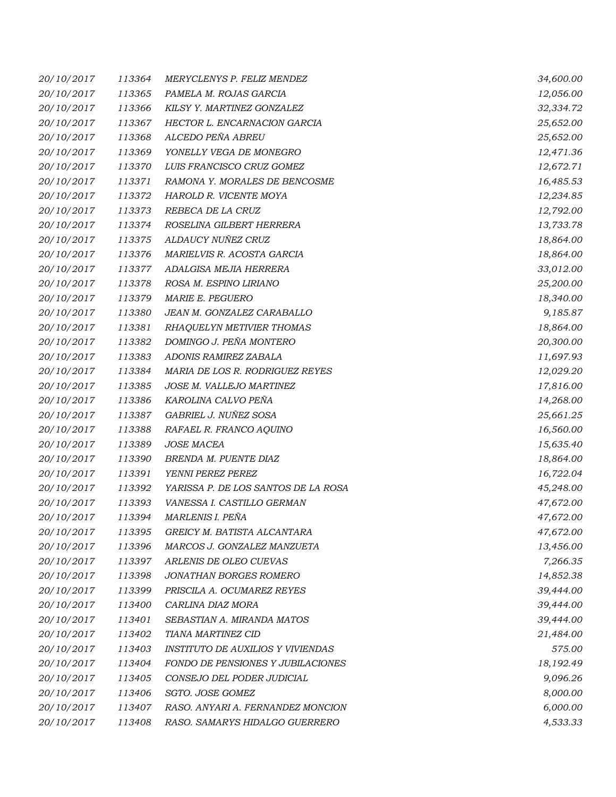| 20/10/2017 | 113364 | MERYCLENYS P. FELIZ MENDEZ               | 34,600.00 |
|------------|--------|------------------------------------------|-----------|
| 20/10/2017 | 113365 | PAMELA M. ROJAS GARCIA                   | 12,056.00 |
| 20/10/2017 | 113366 | KILSY Y. MARTINEZ GONZALEZ               | 32,334.72 |
| 20/10/2017 | 113367 | HECTOR L. ENCARNACION GARCIA             | 25,652.00 |
| 20/10/2017 | 113368 | ALCEDO PEÑA ABREU                        | 25,652.00 |
| 20/10/2017 | 113369 | YONELLY VEGA DE MONEGRO                  | 12,471.36 |
| 20/10/2017 | 113370 | LUIS FRANCISCO CRUZ GOMEZ                | 12,672.71 |
| 20/10/2017 | 113371 | RAMONA Y. MORALES DE BENCOSME            | 16,485.53 |
| 20/10/2017 | 113372 | HAROLD R. VICENTE MOYA                   | 12,234.85 |
| 20/10/2017 | 113373 | REBECA DE LA CRUZ                        | 12,792.00 |
| 20/10/2017 | 113374 | ROSELINA GILBERT HERRERA                 | 13,733.78 |
| 20/10/2017 | 113375 | ALDAUCY NUÑEZ CRUZ                       | 18,864.00 |
| 20/10/2017 | 113376 | MARIELVIS R. ACOSTA GARCIA               | 18,864.00 |
| 20/10/2017 | 113377 | ADALGISA MEJIA HERRERA                   | 33,012.00 |
| 20/10/2017 | 113378 | ROSA M. ESPINO LIRIANO                   | 25,200.00 |
| 20/10/2017 | 113379 | MARIE E. PEGUERO                         | 18,340.00 |
| 20/10/2017 | 113380 | JEAN M. GONZALEZ CARABALLO               | 9,185.87  |
| 20/10/2017 | 113381 | RHAQUELYN METIVIER THOMAS                | 18,864.00 |
| 20/10/2017 | 113382 | DOMINGO J. PEÑA MONTERO                  | 20,300.00 |
| 20/10/2017 | 113383 | ADONIS RAMIREZ ZABALA                    | 11,697.93 |
| 20/10/2017 | 113384 | MARIA DE LOS R. RODRIGUEZ REYES          | 12,029.20 |
| 20/10/2017 | 113385 | JOSE M. VALLEJO MARTINEZ                 | 17,816.00 |
| 20/10/2017 | 113386 | KAROLINA CALVO PEÑA                      | 14,268.00 |
| 20/10/2017 | 113387 | GABRIEL J. NUÑEZ SOSA                    | 25,661.25 |
| 20/10/2017 | 113388 | RAFAEL R. FRANCO AQUINO                  | 16,560.00 |
| 20/10/2017 | 113389 | JOSE MACEA                               | 15,635.40 |
| 20/10/2017 | 113390 | BRENDA M. PUENTE DIAZ                    | 18,864.00 |
| 20/10/2017 | 113391 | YENNI PEREZ PEREZ                        | 16,722.04 |
| 20/10/2017 | 113392 | YARISSA P. DE LOS SANTOS DE LA ROSA      | 45,248.00 |
| 20/10/2017 | 113393 | VANESSA I. CASTILLO GERMAN               | 47,672.00 |
| 20/10/2017 | 113394 | MARLENIS I. PEÑA                         | 47,672.00 |
| 20/10/2017 | 113395 | GREICY M. BATISTA ALCANTARA              | 47,672.00 |
| 20/10/2017 | 113396 | MARCOS J. GONZALEZ MANZUETA              | 13,456.00 |
| 20/10/2017 | 113397 | ARLENIS DE OLEO CUEVAS                   | 7,266.35  |
| 20/10/2017 | 113398 | JONATHAN BORGES ROMERO                   | 14,852.38 |
| 20/10/2017 | 113399 | PRISCILA A. OCUMAREZ REYES               | 39,444.00 |
| 20/10/2017 | 113400 | CARLINA DIAZ MORA                        | 39,444.00 |
| 20/10/2017 | 113401 | SEBASTIAN A. MIRANDA MATOS               | 39,444.00 |
| 20/10/2017 | 113402 | <b>TIANA MARTINEZ CID</b>                | 21,484.00 |
| 20/10/2017 | 113403 | <b>INSTITUTO DE AUXILIOS Y VIVIENDAS</b> | 575.00    |
| 20/10/2017 | 113404 | FONDO DE PENSIONES Y JUBILACIONES        | 18,192.49 |
| 20/10/2017 | 113405 | CONSEJO DEL PODER JUDICIAL               | 9,096.26  |
| 20/10/2017 | 113406 | SGTO. JOSE GOMEZ                         | 8,000.00  |
| 20/10/2017 | 113407 | RASO. ANYARI A. FERNANDEZ MONCION        | 6,000.00  |
| 20/10/2017 | 113408 | RASO. SAMARYS HIDALGO GUERRERO           | 4,533.33  |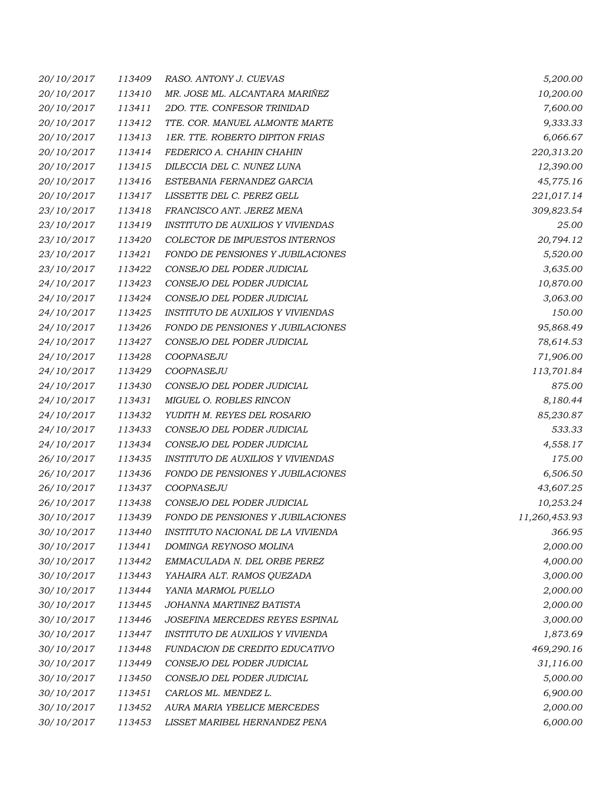| 20/10/2017 | 113409 | RASO. ANTONY J. CUEVAS                   | 5,200.00      |
|------------|--------|------------------------------------------|---------------|
| 20/10/2017 | 113410 | MR. JOSE ML. ALCANTARA MARIÑEZ           | 10,200.00     |
| 20/10/2017 | 113411 | 2DO. TTE. CONFESOR TRINIDAD              | 7,600.00      |
| 20/10/2017 | 113412 | TTE. COR. MANUEL ALMONTE MARTE           | 9,333.33      |
| 20/10/2017 | 113413 | <b>1ER. TTE. ROBERTO DIPITON FRIAS</b>   | 6,066.67      |
| 20/10/2017 | 113414 | FEDERICO A. CHAHIN CHAHIN                | 220,313.20    |
| 20/10/2017 | 113415 | DILECCIA DEL C. NUNEZ LUNA               | 12,390.00     |
| 20/10/2017 | 113416 | ESTEBANIA FERNANDEZ GARCIA               | 45,775.16     |
| 20/10/2017 | 113417 | LISSETTE DEL C. PEREZ GELL               | 221,017.14    |
| 23/10/2017 | 113418 | FRANCISCO ANT. JEREZ MENA                | 309,823.54    |
| 23/10/2017 | 113419 | <b>INSTITUTO DE AUXILIOS Y VIVIENDAS</b> | 25.00         |
| 23/10/2017 | 113420 | COLECTOR DE IMPUESTOS INTERNOS           | 20,794.12     |
| 23/10/2017 | 113421 | FONDO DE PENSIONES Y JUBILACIONES        | 5,520.00      |
| 23/10/2017 | 113422 | CONSEJO DEL PODER JUDICIAL               | 3,635.00      |
| 24/10/2017 | 113423 | CONSEJO DEL PODER JUDICIAL               | 10,870.00     |
| 24/10/2017 | 113424 | CONSEJO DEL PODER JUDICIAL               | 3,063.00      |
| 24/10/2017 | 113425 | <b>INSTITUTO DE AUXILIOS Y VIVIENDAS</b> | 150.00        |
| 24/10/2017 | 113426 | FONDO DE PENSIONES Y JUBILACIONES        | 95,868.49     |
| 24/10/2017 | 113427 | CONSEJO DEL PODER JUDICIAL               | 78,614.53     |
| 24/10/2017 | 113428 | COOPNASEJU                               | 71,906.00     |
| 24/10/2017 | 113429 | COOPNASEJU                               | 113,701.84    |
| 24/10/2017 | 113430 | CONSEJO DEL PODER JUDICIAL               | 875.00        |
| 24/10/2017 | 113431 | MIGUEL O. ROBLES RINCON                  | 8,180.44      |
| 24/10/2017 | 113432 | YUDITH M. REYES DEL ROSARIO              | 85,230.87     |
| 24/10/2017 | 113433 | CONSEJO DEL PODER JUDICIAL               | 533.33        |
| 24/10/2017 | 113434 | CONSEJO DEL PODER JUDICIAL               | 4,558.17      |
| 26/10/2017 | 113435 | <b>INSTITUTO DE AUXILIOS Y VIVIENDAS</b> | 175.00        |
| 26/10/2017 | 113436 | FONDO DE PENSIONES Y JUBILACIONES        | 6,506.50      |
| 26/10/2017 | 113437 | COOPNASEJU                               | 43,607.25     |
| 26/10/2017 | 113438 | CONSEJO DEL PODER JUDICIAL               | 10,253.24     |
| 30/10/2017 | 113439 | FONDO DE PENSIONES Y JUBILACIONES        | 11,260,453.93 |
| 30/10/2017 | 113440 | INSTITUTO NACIONAL DE LA VIVIENDA        | 366.95        |
| 30/10/2017 | 113441 | DOMINGA REYNOSO MOLINA                   | 2,000.00      |
| 30/10/2017 | 113442 | EMMACULADA N. DEL ORBE PEREZ             | 4,000.00      |
| 30/10/2017 | 113443 | YAHAIRA ALT. RAMOS QUEZADA               | 3,000.00      |
| 30/10/2017 | 113444 | YANIA MARMOL PUELLO                      | 2,000.00      |
| 30/10/2017 | 113445 | JOHANNA MARTINEZ BATISTA                 | 2,000.00      |
| 30/10/2017 | 113446 | JOSEFINA MERCEDES REYES ESPINAL          | 3,000.00      |
| 30/10/2017 | 113447 | INSTITUTO DE AUXILIOS Y VIVIENDA         | 1,873.69      |
| 30/10/2017 | 113448 | FUNDACION DE CREDITO EDUCATIVO           | 469,290.16    |
| 30/10/2017 | 113449 | CONSEJO DEL PODER JUDICIAL               | 31,116.00     |
| 30/10/2017 | 113450 | CONSEJO DEL PODER JUDICIAL               | 5,000.00      |
| 30/10/2017 | 113451 | CARLOS ML. MENDEZ L.                     | 6,900.00      |
| 30/10/2017 | 113452 | AURA MARIA YBELICE MERCEDES              | 2,000.00      |
| 30/10/2017 | 113453 | LISSET MARIBEL HERNANDEZ PENA            | 6,000.00      |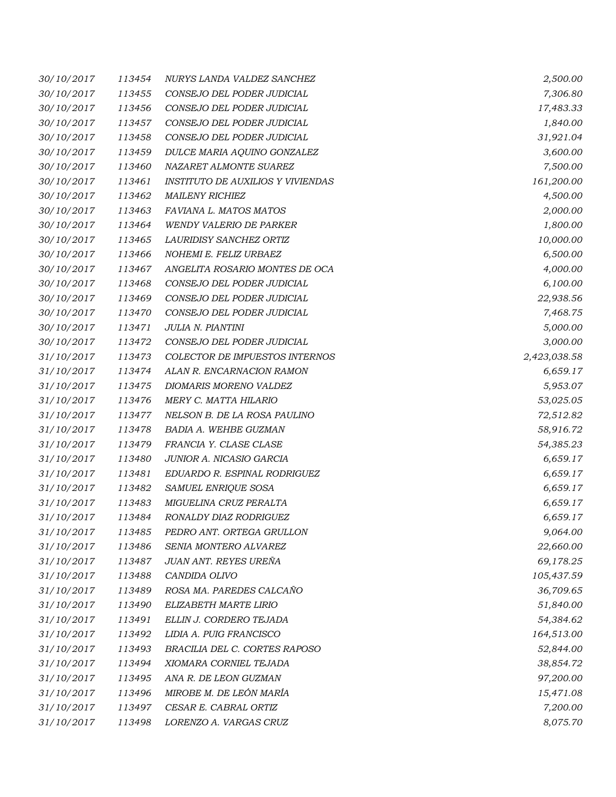| 30/10/2017 | 113454 | NURYS LANDA VALDEZ SANCHEZ               | 2,500.00     |
|------------|--------|------------------------------------------|--------------|
| 30/10/2017 | 113455 | CONSEJO DEL PODER JUDICIAL               | 7,306.80     |
| 30/10/2017 | 113456 | CONSEJO DEL PODER JUDICIAL               | 17,483.33    |
| 30/10/2017 | 113457 | CONSEJO DEL PODER JUDICIAL               | 1,840.00     |
| 30/10/2017 | 113458 | CONSEJO DEL PODER JUDICIAL               | 31,921.04    |
| 30/10/2017 | 113459 | DULCE MARIA AQUINO GONZALEZ              | 3,600.00     |
| 30/10/2017 | 113460 | NAZARET ALMONTE SUAREZ                   | 7,500.00     |
| 30/10/2017 | 113461 | <b>INSTITUTO DE AUXILIOS Y VIVIENDAS</b> | 161,200.00   |
| 30/10/2017 | 113462 | <b>MAILENY RICHIEZ</b>                   | 4,500.00     |
| 30/10/2017 | 113463 | FAVIANA L. MATOS MATOS                   | 2,000.00     |
| 30/10/2017 | 113464 | <b>WENDY VALERIO DE PARKER</b>           | 1,800.00     |
| 30/10/2017 | 113465 | LAURIDISY SANCHEZ ORTIZ                  | 10,000.00    |
| 30/10/2017 | 113466 | NOHEMI E. FELIZ URBAEZ                   | 6,500.00     |
| 30/10/2017 | 113467 | ANGELITA ROSARIO MONTES DE OCA           | 4,000.00     |
| 30/10/2017 | 113468 | CONSEJO DEL PODER JUDICIAL               | 6,100.00     |
| 30/10/2017 | 113469 | CONSEJO DEL PODER JUDICIAL               | 22,938.56    |
| 30/10/2017 | 113470 | CONSEJO DEL PODER JUDICIAL               | 7,468.75     |
| 30/10/2017 | 113471 | JULIA N. PIANTINI                        | 5,000.00     |
| 30/10/2017 | 113472 | CONSEJO DEL PODER JUDICIAL               | 3,000.00     |
| 31/10/2017 | 113473 | COLECTOR DE IMPUESTOS INTERNOS           | 2,423,038.58 |
| 31/10/2017 | 113474 | ALAN R. ENCARNACION RAMON                | 6,659.17     |
| 31/10/2017 | 113475 | DIOMARIS MORENO VALDEZ                   | 5,953.07     |
| 31/10/2017 | 113476 | MERY C. MATTA HILARIO                    | 53,025.05    |
| 31/10/2017 | 113477 | NELSON B. DE LA ROSA PAULINO             | 72,512.82    |
| 31/10/2017 | 113478 | BADIA A. WEHBE GUZMAN                    | 58,916.72    |
| 31/10/2017 | 113479 | FRANCIA Y. CLASE CLASE                   | 54,385.23    |
| 31/10/2017 | 113480 | JUNIOR A. NICASIO GARCIA                 | 6,659.17     |
| 31/10/2017 | 113481 | EDUARDO R. ESPINAL RODRIGUEZ             | 6,659.17     |
| 31/10/2017 | 113482 | SAMUEL ENRIQUE SOSA                      | 6,659.17     |
| 31/10/2017 | 113483 | MIGUELINA CRUZ PERALTA                   | 6,659.17     |
| 31/10/2017 | 113484 | RONALDY DIAZ RODRIGUEZ                   | 6,659.17     |
| 31/10/2017 | 113485 | PEDRO ANT. ORTEGA GRULLON                | 9,064.00     |
| 31/10/2017 | 113486 | SENIA MONTERO ALVAREZ                    | 22,660.00    |
| 31/10/2017 | 113487 | JUAN ANT. REYES UREÑA                    | 69,178.25    |
| 31/10/2017 | 113488 | CANDIDA OLIVO                            | 105,437.59   |
| 31/10/2017 | 113489 | ROSA MA. PAREDES CALCAÑO                 | 36,709.65    |
| 31/10/2017 | 113490 | ELIZABETH MARTE LIRIO                    | 51,840.00    |
| 31/10/2017 | 113491 | ELLIN J. CORDERO TEJADA                  | 54,384.62    |
| 31/10/2017 | 113492 | LIDIA A. PUIG FRANCISCO                  | 164,513.00   |
| 31/10/2017 | 113493 | BRACILIA DEL C. CORTES RAPOSO            | 52,844.00    |
| 31/10/2017 | 113494 | XIOMARA CORNIEL TEJADA                   | 38,854.72    |
| 31/10/2017 | 113495 | ANA R. DE LEON GUZMAN                    | 97,200.00    |
| 31/10/2017 | 113496 | MIROBE M. DE LEÓN MARÍA                  | 15,471.08    |
| 31/10/2017 | 113497 | CESAR E. CABRAL ORTIZ                    | 7,200.00     |
| 31/10/2017 | 113498 | LORENZO A. VARGAS CRUZ                   | 8,075.70     |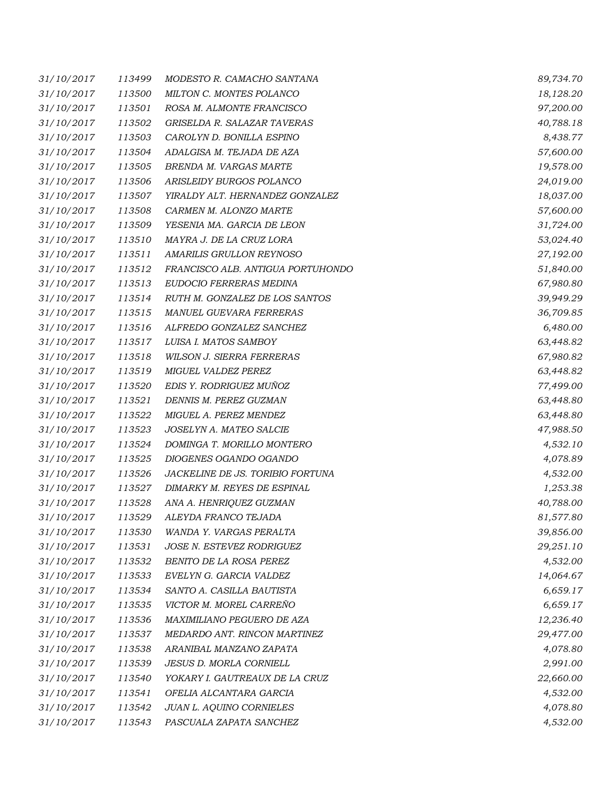| 31/10/2017 | 113499 | MODESTO R. CAMACHO SANTANA        | 89,734.70 |
|------------|--------|-----------------------------------|-----------|
| 31/10/2017 | 113500 | MILTON C. MONTES POLANCO          | 18,128.20 |
| 31/10/2017 | 113501 | ROSA M. ALMONTE FRANCISCO         | 97,200.00 |
| 31/10/2017 | 113502 | GRISELDA R. SALAZAR TAVERAS       | 40,788.18 |
| 31/10/2017 | 113503 | CAROLYN D. BONILLA ESPINO         | 8,438.77  |
| 31/10/2017 | 113504 | ADALGISA M. TEJADA DE AZA         | 57,600.00 |
| 31/10/2017 | 113505 | BRENDA M. VARGAS MARTE            | 19,578.00 |
| 31/10/2017 | 113506 | ARISLEIDY BURGOS POLANCO          | 24,019.00 |
| 31/10/2017 | 113507 | YIRALDY ALT. HERNANDEZ GONZALEZ   | 18,037.00 |
| 31/10/2017 | 113508 | CARMEN M. ALONZO MARTE            | 57,600.00 |
| 31/10/2017 | 113509 | YESENIA MA. GARCIA DE LEON        | 31,724.00 |
| 31/10/2017 | 113510 | MAYRA J. DE LA CRUZ LORA          | 53,024.40 |
| 31/10/2017 | 113511 | AMARILIS GRULLON REYNOSO          | 27,192.00 |
| 31/10/2017 | 113512 | FRANCISCO ALB. ANTIGUA PORTUHONDO | 51,840.00 |
| 31/10/2017 | 113513 | EUDOCIO FERRERAS MEDINA           | 67,980.80 |
| 31/10/2017 | 113514 | RUTH M. GONZALEZ DE LOS SANTOS    | 39,949.29 |
| 31/10/2017 | 113515 | MANUEL GUEVARA FERRERAS           | 36,709.85 |
| 31/10/2017 | 113516 | ALFREDO GONZALEZ SANCHEZ          | 6,480.00  |
| 31/10/2017 | 113517 | LUISA I. MATOS SAMBOY             | 63,448.82 |
| 31/10/2017 | 113518 | <b>WILSON J. SIERRA FERRERAS</b>  | 67,980.82 |
| 31/10/2017 | 113519 | MIGUEL VALDEZ PEREZ               | 63,448.82 |
| 31/10/2017 | 113520 | EDIS Y. RODRIGUEZ MUÑOZ           | 77,499.00 |
| 31/10/2017 | 113521 | DENNIS M. PEREZ GUZMAN            | 63,448.80 |
| 31/10/2017 | 113522 | MIGUEL A. PEREZ MENDEZ            | 63,448.80 |
| 31/10/2017 | 113523 | JOSELYN A. MATEO SALCIE           | 47,988.50 |
| 31/10/2017 | 113524 | DOMINGA T. MORILLO MONTERO        | 4,532.10  |
| 31/10/2017 | 113525 | DIOGENES OGANDO OGANDO            | 4,078.89  |
| 31/10/2017 | 113526 | JACKELINE DE JS. TORIBIO FORTUNA  | 4,532.00  |
| 31/10/2017 | 113527 | DIMARKY M. REYES DE ESPINAL       | 1,253.38  |
| 31/10/2017 | 113528 | ANA A. HENRIQUEZ GUZMAN           | 40,788.00 |
| 31/10/2017 | 113529 | ALEYDA FRANCO TEJADA              | 81,577.80 |
| 31/10/2017 | 113530 | WANDA Y. VARGAS PERALTA           | 39,856.00 |
| 31/10/2017 | 113531 | JOSE N. ESTEVEZ RODRIGUEZ         | 29,251.10 |
| 31/10/2017 | 113532 | BENITO DE LA ROSA PEREZ           | 4,532.00  |
| 31/10/2017 | 113533 | EVELYN G. GARCIA VALDEZ           | 14,064.67 |
| 31/10/2017 | 113534 | SANTO A. CASILLA BAUTISTA         | 6,659.17  |
| 31/10/2017 | 113535 | VICTOR M. MOREL CARREÑO           | 6,659.17  |
| 31/10/2017 | 113536 | MAXIMILIANO PEGUERO DE AZA        | 12,236.40 |
| 31/10/2017 | 113537 | MEDARDO ANT. RINCON MARTINEZ      | 29,477.00 |
| 31/10/2017 | 113538 | ARANIBAL MANZANO ZAPATA           | 4,078.80  |
| 31/10/2017 | 113539 | JESUS D. MORLA CORNIELL           | 2,991.00  |
| 31/10/2017 | 113540 | YOKARY I. GAUTREAUX DE LA CRUZ    | 22,660.00 |
| 31/10/2017 | 113541 | OFELIA ALCANTARA GARCIA           | 4,532.00  |
| 31/10/2017 | 113542 | JUAN L. AQUINO CORNIELES          | 4,078.80  |
| 31/10/2017 | 113543 | PASCUALA ZAPATA SANCHEZ           | 4,532.00  |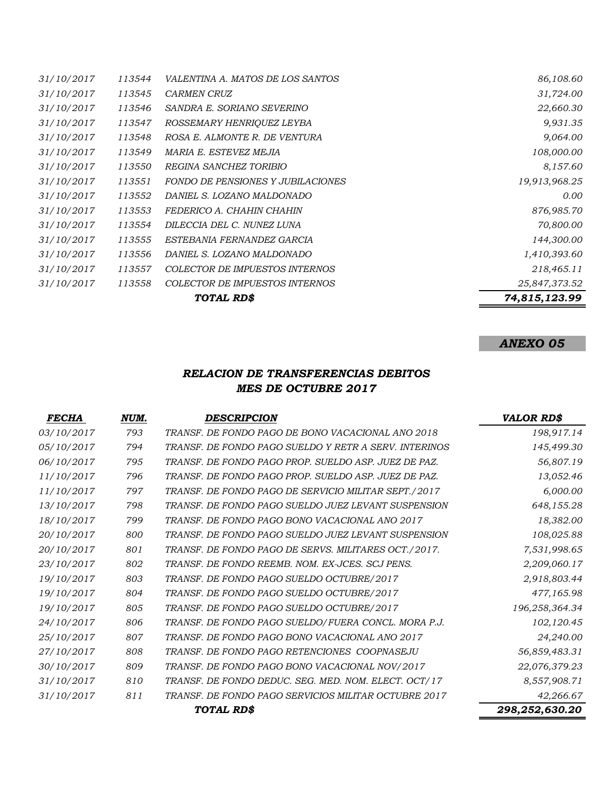|            |        | TOTAL RD\$                        | 74,815,123.99 |
|------------|--------|-----------------------------------|---------------|
| 31/10/2017 | 113558 | COLECTOR DE IMPUESTOS INTERNOS    | 25,847,373.52 |
| 31/10/2017 | 113557 | COLECTOR DE IMPUESTOS INTERNOS    | 218,465.11    |
| 31/10/2017 | 113556 | DANIEL S. LOZANO MALDONADO        | 1,410,393.60  |
| 31/10/2017 | 113555 | ESTEBANIA FERNANDEZ GARCIA        | 144,300.00    |
| 31/10/2017 | 113554 | DILECCIA DEL C. NUNEZ LUNA        | 70,800.00     |
| 31/10/2017 | 113553 | FEDERICO A. CHAHIN CHAHIN         | 876,985.70    |
| 31/10/2017 | 113552 | DANIEL S. LOZANO MALDONADO        | 0.00          |
| 31/10/2017 | 113551 | FONDO DE PENSIONES Y JUBILACIONES | 19,913,968.25 |
| 31/10/2017 | 113550 | REGINA SANCHEZ TORIBIO            | 8,157.60      |
| 31/10/2017 | 113549 | MARIA E. ESTEVEZ MEJIA            | 108,000.00    |
| 31/10/2017 | 113548 | ROSA E. ALMONTE R. DE VENTURA     | 9,064.00      |
| 31/10/2017 | 113547 | ROSSEMARY HENRIQUEZ LEYBA         | 9,931.35      |
| 31/10/2017 | 113546 | SANDRA E. SORIANO SEVERINO        | 22,660.30     |
| 31/10/2017 | 113545 | <i>CARMEN CRUZ</i>                | 31,724.00     |
| 31/10/2017 | 113544 | VALENTINA A. MATOS DE LOS SANTOS  | 86,108.60     |

## *RELACION DE TRANSFERENCIAS DEBITOS MES DE OCTUBRE 2017*

| <b>FECHA</b> | NUM. | <b>DESCRIPCION</b>                                    | <b>VALOR RD\$</b> |
|--------------|------|-------------------------------------------------------|-------------------|
| 03/10/2017   | 793  | TRANSF. DE FONDO PAGO DE BONO VACACIONAL ANO 2018     | 198,917.14        |
| 05/10/2017   | 794  | TRANSF. DE FONDO PAGO SUELDO Y RETR A SERV. INTERINOS | 145,499.30        |
| 06/10/2017   | 795  | TRANSF. DE FONDO PAGO PROP. SUELDO ASP. JUEZ DE PAZ.  | 56,807.19         |
| 11/10/2017   | 796  | TRANSF. DE FONDO PAGO PROP. SUELDO ASP. JUEZ DE PAZ.  | 13,052.46         |
| 11/10/2017   | 797  | TRANSF. DE FONDO PAGO DE SERVICIO MILITAR SEPT./2017  | 6,000.00          |
| 13/10/2017   | 798  | TRANSF. DE FONDO PAGO SUELDO JUEZ LEVANT SUSPENSION   | 648,155.28        |
| 18/10/2017   | 799  | TRANSF. DE FONDO PAGO BONO VACACIONAL ANO 2017        | 18,382.00         |
| 20/10/2017   | 800  | TRANSF. DE FONDO PAGO SUELDO JUEZ LEVANT SUSPENSION   | 108,025.88        |
| 20/10/2017   | 801  | TRANSF. DE FONDO PAGO DE SERVS. MILITARES OCT./2017.  | 7,531,998.65      |
| 23/10/2017   | 802  | TRANSF. DE FONDO REEMB. NOM. EX-JCES. SCJ PENS.       | 2,209,060.17      |
| 19/10/2017   | 803  | TRANSF. DE FONDO PAGO SUELDO OCTUBRE/2017             | 2,918,803.44      |
| 19/10/2017   | 804  | TRANSF. DE FONDO PAGO SUELDO OCTUBRE/2017             | 477,165.98        |
| 19/10/2017   | 805  | TRANSF. DE FONDO PAGO SUELDO OCTUBRE/2017             | 196,258,364.34    |
| 24/10/2017   | 806  | TRANSF. DE FONDO PAGO SUELDO/FUERA CONCL. MORA P.J.   | 102,120.45        |
| 25/10/2017   | 807  | TRANSF. DE FONDO PAGO BONO VACACIONAL ANO 2017        | 24,240.00         |
| 27/10/2017   | 808  | TRANSF. DE FONDO PAGO RETENCIONES COOPNASEJU          | 56,859,483.31     |
| 30/10/2017   | 809  | TRANSF. DE FONDO PAGO BONO VACACIONAL NOV/2017        | 22,076,379.23     |
| 31/10/2017   | 810  | TRANSF. DE FONDO DEDUC. SEG. MED. NOM. ELECT. OCT/17  | 8,557,908.71      |
| 31/10/2017   | 811  | TRANSF. DE FONDO PAGO SERVICIOS MILITAR OCTUBRE 2017  | 42,266.67         |
|              |      | TOTAL RD\$                                            | 298,252,630.20    |